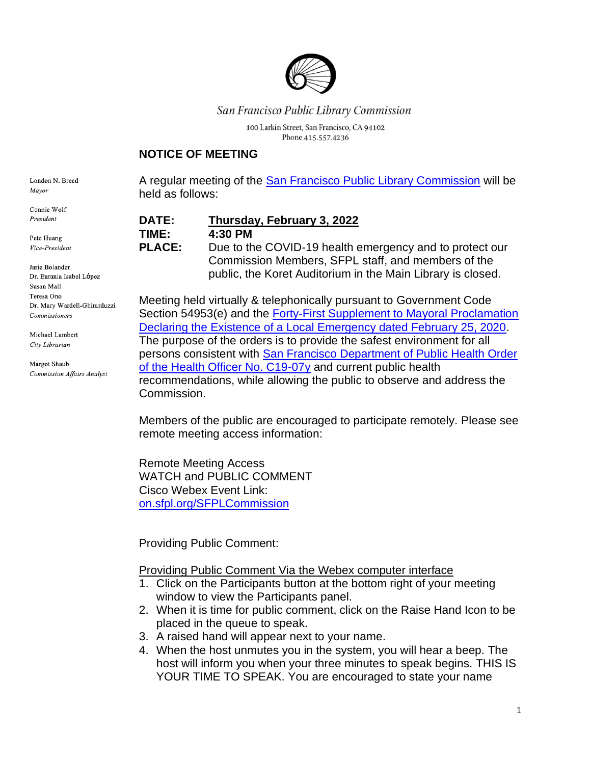

### San Francisco Public Library Commission

100 Larkin Street, San Francisco, CA 94102 Phone 415.557.4236

#### **NOTICE OF MEETING**

London N. Breed Mayor

Connie Wolf President

Pete Huang Vice-President

Jarie Bolander Dr. Eurania Isabel López Susan Mall Teresa Ono Dr. Mary Wardell-Ghirarduzzi Commissioners

Michael Lambert City Librarian

Margot Shaub **Commission Affairs Analyst**  A regular meeting of the [San Francisco Public Library Commission](https://sfpl.org/about-us/library-commission) will be held as follows:

**DATE: Thursday, February 3, 2022**

**TIME: 4:30 PM**

**PLACE:** Due to the COVID-19 health emergency and to protect our Commission Members, SFPL staff, and members of the public, the Koret Auditorium in the Main Library is closed.

Meeting held virtually & telephonically pursuant to Government Code Section 54953(e) and the Forty-First [Supplement to Mayoral Proclamation](https://sfmayor.org/sites/default/files/COVID_41st_Emergency_Supplement.pdf)  [Declaring the Existence of a Local Emergency dated February 25, 2020.](https://sfmayor.org/sites/default/files/COVID_41st_Emergency_Supplement.pdf) The purpose of the orders is to provide the safest environment for all persons consistent with [San Francisco Department of Public Health Order](https://www.sfdph.org/dph/alerts/coronavirus-health-directives.asp)  [of the Health Officer No. C19-07y](https://www.sfdph.org/dph/alerts/coronavirus-health-directives.asp) and current public health recommendations, while allowing the public to observe and address the Commission.

Members of the public are encouraged to participate remotely. Please see remote meeting access information:

Remote Meeting Access WATCH and PUBLIC COMMENT Cisco Webex Event Link: [on.sfpl.org/SFPLCommission](https://on.sfpl.org/SFPLCommission)

Providing Public Comment:

Providing Public Comment Via the Webex computer interface

- 1. Click on the Participants button at the bottom right of your meeting window to view the Participants panel.
- 2. When it is time for public comment, click on the Raise Hand Icon to be placed in the queue to speak.
- 3. A raised hand will appear next to your name.
- 4. When the host unmutes you in the system, you will hear a beep. The host will inform you when your three minutes to speak begins. THIS IS YOUR TIME TO SPEAK. You are encouraged to state your name

1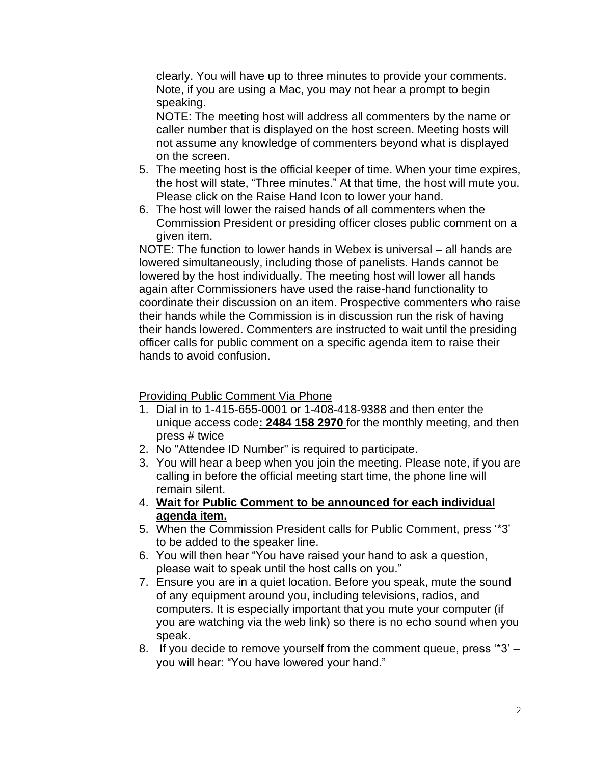clearly. You will have up to three minutes to provide your comments. Note, if you are using a Mac, you may not hear a prompt to begin speaking.

NOTE: The meeting host will address all commenters by the name or caller number that is displayed on the host screen. Meeting hosts will not assume any knowledge of commenters beyond what is displayed on the screen.

- 5. The meeting host is the official keeper of time. When your time expires, the host will state, "Three minutes." At that time, the host will mute you. Please click on the Raise Hand Icon to lower your hand.
- 6. The host will lower the raised hands of all commenters when the Commission President or presiding officer closes public comment on a given item.

NOTE: The function to lower hands in Webex is universal – all hands are lowered simultaneously, including those of panelists. Hands cannot be lowered by the host individually. The meeting host will lower all hands again after Commissioners have used the raise-hand functionality to coordinate their discussion on an item. Prospective commenters who raise their hands while the Commission is in discussion run the risk of having their hands lowered. Commenters are instructed to wait until the presiding officer calls for public comment on a specific agenda item to raise their hands to avoid confusion.

#### Providing Public Comment Via Phone

- 1. Dial in to 1-415-655-0001 or 1-408-418-9388 and then enter the unique access code**: 2484 158 2970** for the monthly meeting, and then press # twice
- 2. No "Attendee ID Number" is required to participate.
- 3. You will hear a beep when you join the meeting. Please note, if you are calling in before the official meeting start time, the phone line will remain silent.
- 4. **Wait for Public Comment to be announced for each individual agenda item.**
- 5. When the Commission President calls for Public Comment, press '\*3' to be added to the speaker line.
- 6. You will then hear "You have raised your hand to ask a question, please wait to speak until the host calls on you."
- 7. Ensure you are in a quiet location. Before you speak, mute the sound of any equipment around you, including televisions, radios, and computers. It is especially important that you mute your computer (if you are watching via the web link) so there is no echo sound when you speak.
- 8. If you decide to remove yourself from the comment queue, press '\*3' you will hear: "You have lowered your hand."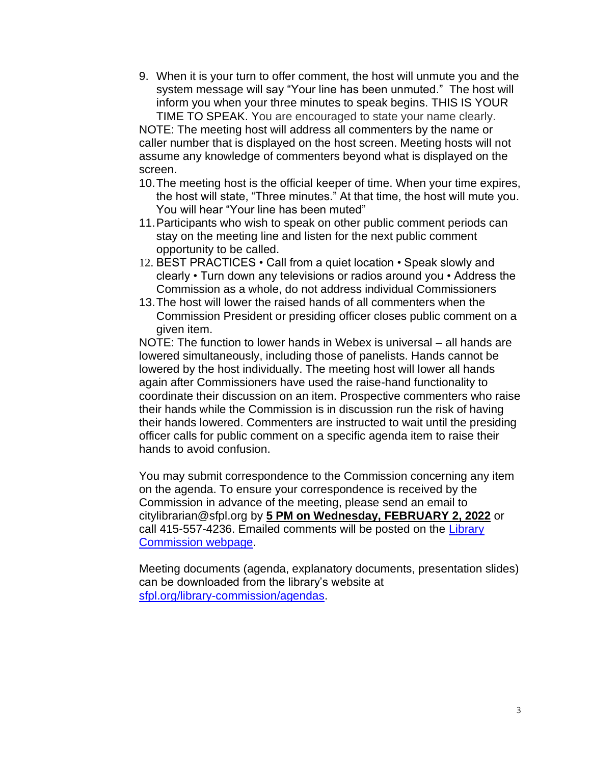9. When it is your turn to offer comment, the host will unmute you and the system message will say "Your line has been unmuted." The host will inform you when your three minutes to speak begins. THIS IS YOUR TIME TO SPEAK. You are encouraged to state your name clearly.

NOTE: The meeting host will address all commenters by the name or caller number that is displayed on the host screen. Meeting hosts will not assume any knowledge of commenters beyond what is displayed on the screen.

- 10.The meeting host is the official keeper of time. When your time expires, the host will state, "Three minutes." At that time, the host will mute you. You will hear "Your line has been muted"
- 11.Participants who wish to speak on other public comment periods can stay on the meeting line and listen for the next public comment opportunity to be called.
- 12. BEST PRACTICES Call from a quiet location Speak slowly and clearly • Turn down any televisions or radios around you • Address the Commission as a whole, do not address individual Commissioners
- 13.The host will lower the raised hands of all commenters when the Commission President or presiding officer closes public comment on a given item.

NOTE: The function to lower hands in Webex is universal – all hands are lowered simultaneously, including those of panelists. Hands cannot be lowered by the host individually. The meeting host will lower all hands again after Commissioners have used the raise-hand functionality to coordinate their discussion on an item. Prospective commenters who raise their hands while the Commission is in discussion run the risk of having their hands lowered. Commenters are instructed to wait until the presiding officer calls for public comment on a specific agenda item to raise their hands to avoid confusion.

You may submit correspondence to the Commission concerning any item on the agenda. To ensure your correspondence is received by the Commission in advance of the meeting, please send an email to citylibrarian@sfpl.org by **5 PM on Wednesday, FEBRUARY 2, 2022** or call 415-557-4236. Emailed comments will be posted on the Library [Commission webpage.](https://sfpl.org/library-commission/public-notices/agendas)

Meeting documents (agenda, explanatory documents, presentation slides) can be downloaded from the library's website at [sfpl.org/library-commission/agendas.](https://sfpl.org/library-commission/agendas)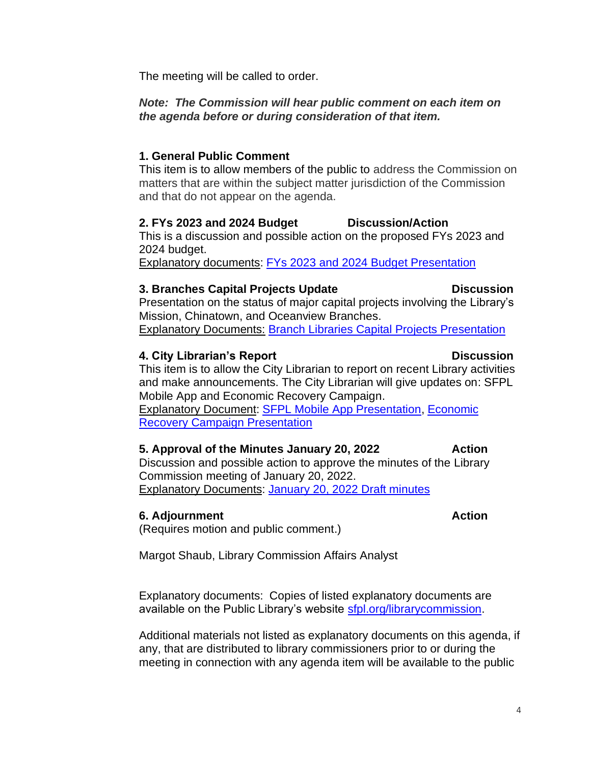4

The meeting will be called to order.

### *Note: The Commission will hear public comment on each item on the agenda before or during consideration of that item.*

# **1. General Public Comment**

This item is to allow members of the public to address the Commission on matters that are within the subject matter jurisdiction of the Commission and that do not appear on the agenda.

### **2. FYs 2023 and 2024 Budget Discussion/Action**

This is a discussion and possible action on the proposed FYs 2023 and 2024 budget.

Explanatory documents: [FYs 2023 and 2024 Budget Presentation](https://sfpl.org/sites/default/files/2022-01/2-budget-fy2023-24.pdf)

# **3. Branches Capital Projects Update Discussion**

Presentation on the status of major capital projects involving the Library's Mission, Chinatown, and Oceanview Branches.

Explanatory Documents: [Branch Libraries Capital Projects Presentation](https://sfpl.org/sites/default/files/2022-01/3-branch-capital-projects.pdf)

# **4. City Librarian's Report Construction Construction Construction Construction Construction Construction Construction Construction Construction Construction Construction Construction Construction Construction Construction**

This item is to allow the City Librarian to report on recent Library activities and make announcements. The City Librarian will give updates on: SFPL Mobile App and Economic Recovery Campaign. Explanatory Document: [SFPL Mobile App Presentation,](https://sfpl.org/sites/default/files/2022-01/4-1-sfpl-mobile-app.pdf) [Economic](https://sfpl.org/sites/default/files/2022-01/4-2-economic-recovery020322.pdf)  [Recovery Campaign Presentation](https://sfpl.org/sites/default/files/2022-01/4-2-economic-recovery020322.pdf)

# **5. Approval of the Minutes January 20, 2022** Action

Discussion and possible action to approve the minutes of the Library Commission meeting of January 20, 2022. Explanatory Documents: [January 20, 2022 Draft minutes](https://sfpl.org/library-commission/draft-minutes-january-20-2022)

# **6. Adjournment Action Action**

(Requires motion and public comment.)

Margot Shaub, Library Commission Affairs Analyst

Explanatory documents: Copies of listed explanatory documents are available on the Public Library's website [sfpl.org/librarycommission.](http://sfpl.org/librarycommission)

Additional materials not listed as explanatory documents on this agenda, if any, that are distributed to library commissioners prior to or during the meeting in connection with any agenda item will be available to the public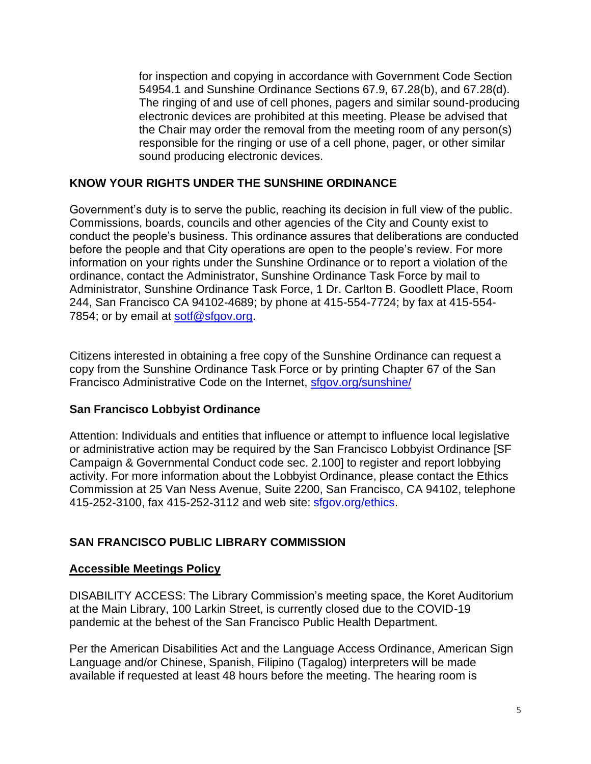for inspection and copying in accordance with Government Code Section 54954.1 and Sunshine Ordinance Sections 67.9, 67.28(b), and 67.28(d). The ringing of and use of cell phones, pagers and similar sound-producing electronic devices are prohibited at this meeting. Please be advised that the Chair may order the removal from the meeting room of any person(s) responsible for the ringing or use of a cell phone, pager, or other similar sound producing electronic devices.

### **KNOW YOUR RIGHTS UNDER THE SUNSHINE ORDINANCE**

Government's duty is to serve the public, reaching its decision in full view of the public. Commissions, boards, councils and other agencies of the City and County exist to conduct the people's business. This ordinance assures that deliberations are conducted before the people and that City operations are open to the people's review. For more information on your rights under the Sunshine Ordinance or to report a violation of the ordinance, contact the Administrator, Sunshine Ordinance Task Force by mail to Administrator, Sunshine Ordinance Task Force, 1 Dr. Carlton B. Goodlett Place, Room 244, San Francisco CA 94102-4689; by phone at 415-554-7724; by fax at 415-554 7854; or by email at [sotf@sfgov.org.](mailto:sotf@sfgov.org)

Citizens interested in obtaining a free copy of the Sunshine Ordinance can request a copy from the Sunshine Ordinance Task Force or by printing Chapter 67 of the San Francisco Administrative Code on the Internet, [sfgov.org/sunshine/](http://www.sfgov.org/sunshine/)

# **San Francisco Lobbyist Ordinance**

Attention: Individuals and entities that influence or attempt to influence local legislative or administrative action may be required by the San Francisco Lobbyist Ordinance [SF Campaign & Governmental Conduct code sec. 2.100] to register and report lobbying activity. For more information about the Lobbyist Ordinance, please contact the Ethics Commission at 25 Van Ness Avenue, Suite 2200, San Francisco, CA 94102, telephone 415-252-3100, fax 415-252-3112 and web site: sfgov.org/ethics.

# **SAN FRANCISCO PUBLIC LIBRARY COMMISSION**

#### **Accessible Meetings Policy**

DISABILITY ACCESS: The Library Commission's meeting space, the Koret Auditorium at the Main Library, 100 Larkin Street, is currently closed due to the COVID-19 pandemic at the behest of the San Francisco Public Health Department.

Per the American Disabilities Act and the Language Access Ordinance, American Sign Language and/or Chinese, Spanish, Filipino (Tagalog) interpreters will be made available if requested at least 48 hours before the meeting. The hearing room is